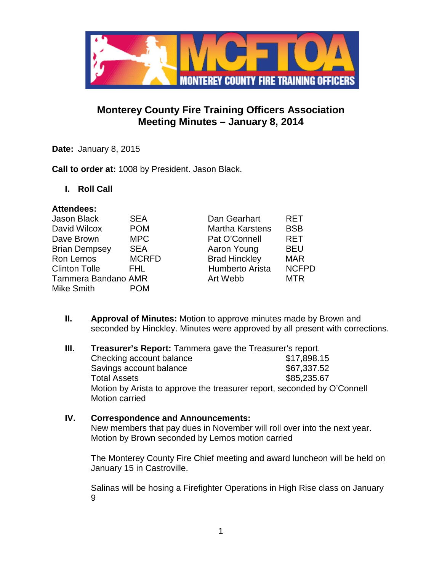

# **Monterey County Fire Training Officers Association Meeting Minutes – January 8, 2014**

**Date:** January 8, 2015

**Call to order at:** 1008 by President. Jason Black.

**I. Roll Call**

# **Attendees:**

| <b>Jason Black</b>         | <b>SEA</b>   | Dan Gearhart           | <b>RET</b>   |
|----------------------------|--------------|------------------------|--------------|
| David Wilcox               | <b>POM</b>   | <b>Martha Karstens</b> | <b>BSB</b>   |
| Dave Brown                 | <b>MPC</b>   | Pat O'Connell          | <b>RET</b>   |
| <b>Brian Dempsey</b>       | <b>SEA</b>   | Aaron Young            | <b>BEU</b>   |
| Ron Lemos                  | <b>MCRFD</b> | <b>Brad Hinckley</b>   | <b>MAR</b>   |
| <b>Clinton Tolle</b>       | FHL.         | Humberto Arista        | <b>NCFPD</b> |
| <b>Tammera Bandano AMR</b> |              | Art Webb               | <b>MTR</b>   |
| Mike Smith                 | <b>POM</b>   |                        |              |
|                            |              |                        |              |

- **II. Approval of Minutes:** Motion to approve minutes made by Brown and seconded by Hinckley. Minutes were approved by all present with corrections.
- **III. Treasurer's Report:** Tammera gave the Treasurer's report. Checking account balance \$17,898.15 Savings account balance \$67,337.52 Total Assets \$85,235.67 Motion by Arista to approve the treasurer report, seconded by O'Connell Motion carried

# **IV. Correspondence and Announcements:**

New members that pay dues in November will roll over into the next year. Motion by Brown seconded by Lemos motion carried

The Monterey County Fire Chief meeting and award luncheon will be held on January 15 in Castroville.

Salinas will be hosing a Firefighter Operations in High Rise class on January 9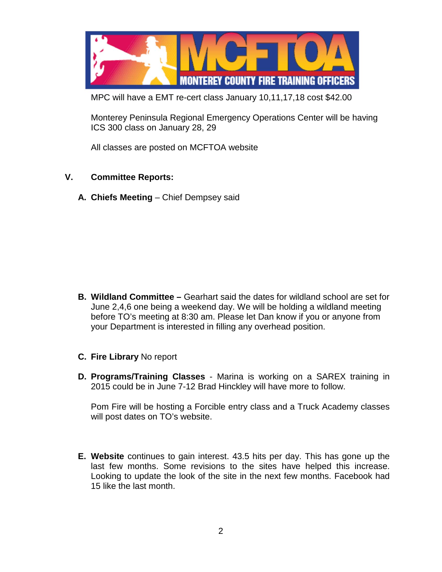

MPC will have a EMT re-cert class January 10,11,17,18 cost \$42.00

Monterey Peninsula Regional Emergency Operations Center will be having ICS 300 class on January 28, 29

All classes are posted on MCFTOA website

# **V. Committee Reports:**

**A. Chiefs Meeting** – Chief Dempsey said

- **B. Wildland Committee –** Gearhart said the dates for wildland school are set for June 2,4,6 one being a weekend day. We will be holding a wildland meeting before TO's meeting at 8:30 am. Please let Dan know if you or anyone from your Department is interested in filling any overhead position.
- **C. Fire Library** No report
- **D. Programs/Training Classes** Marina is working on a SAREX training in 2015 could be in June 7-12 Brad Hinckley will have more to follow.

Pom Fire will be hosting a Forcible entry class and a Truck Academy classes will post dates on TO's website.

**E. Website** continues to gain interest. 43.5 hits per day. This has gone up the last few months. Some revisions to the sites have helped this increase. Looking to update the look of the site in the next few months. Facebook had 15 like the last month.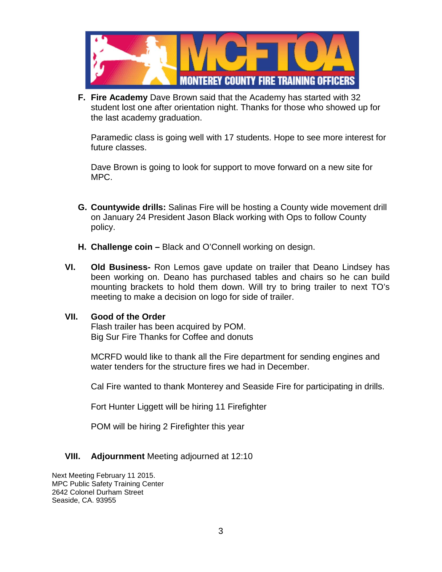

**F. Fire Academy** Dave Brown said that the Academy has started with 32 student lost one after orientation night. Thanks for those who showed up for the last academy graduation.

Paramedic class is going well with 17 students. Hope to see more interest for future classes.

Dave Brown is going to look for support to move forward on a new site for MPC.

- **G. Countywide drills:** Salinas Fire will be hosting a County wide movement drill on January 24 President Jason Black working with Ops to follow County policy.
- **H. Challenge coin –** Black and O'Connell working on design.
- **VI. Old Business-** Ron Lemos gave update on trailer that Deano Lindsey has been working on. Deano has purchased tables and chairs so he can build mounting brackets to hold them down. Will try to bring trailer to next TO's meeting to make a decision on logo for side of trailer.

#### **VII. Good of the Order**

Flash trailer has been acquired by POM. Big Sur Fire Thanks for Coffee and donuts

MCRFD would like to thank all the Fire department for sending engines and water tenders for the structure fires we had in December.

Cal Fire wanted to thank Monterey and Seaside Fire for participating in drills.

Fort Hunter Liggett will be hiring 11 Firefighter

POM will be hiring 2 Firefighter this year

# **VIII. Adjournment** Meeting adjourned at 12:10

Next Meeting February 11 2015. MPC Public Safety Training Center 2642 Colonel Durham Street Seaside, CA. 93955